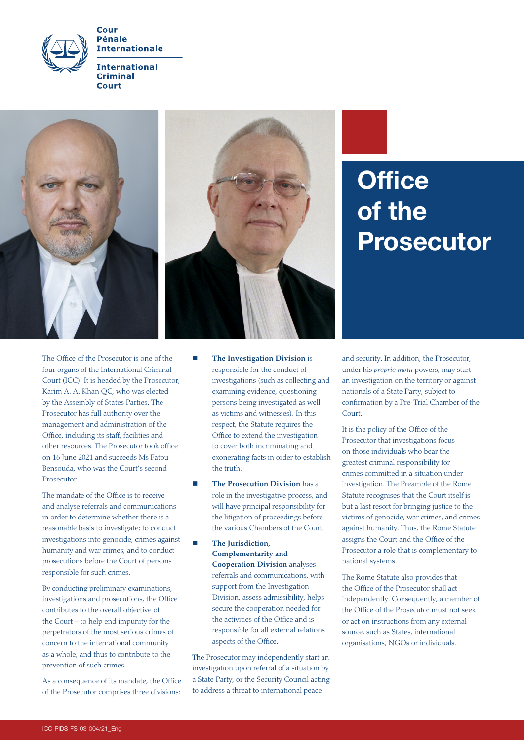

**Internationale International Criminal** 

Court





## **Office** of the Prosecutor

The Office of the Prosecutor is one of the four organs of the International Criminal Court (ICC). It is headed by the Prosecutor, Karim A. A. Khan QC, who was elected by the Assembly of States Parties. The Prosecutor has full authority over the management and administration of the Office, including its staff, facilities and other resources. The Prosecutor took office on 16 June 2021 and succeeds Ms Fatou Bensouda, who was the Court's second Prosecutor.

The mandate of the Office is to receive and analyse referrals and communications in order to determine whether there is a reasonable basis to investigate; to conduct investigations into genocide, crimes against humanity and war crimes; and to conduct prosecutions before the Court of persons responsible for such crimes.

By conducting preliminary examinations, investigations and prosecutions, the Office contributes to the overall objective of the Court – to help end impunity for the perpetrators of the most serious crimes of concern to the international community as a whole, and thus to contribute to the prevention of such crimes.

As a consequence of its mandate, the Office of the Prosecutor comprises three divisions:

- **The Investigation Division** is responsible for the conduct of investigations (such as collecting and examining evidence, questioning persons being investigated as well as victims and witnesses). In this respect, the Statute requires the Office to extend the investigation to cover both incriminating and exonerating facts in order to establish the truth.
- **The Prosecution Division** has a role in the investigative process, and will have principal responsibility for the litigation of proceedings before the various Chambers of the Court.
	- **The Jurisdiction, Complementarity and Cooperation Division** analyses referrals and communications, with support from the Investigation Division, assess admissibility, helps secure the cooperation needed for the activities of the Office and is responsible for all external relations aspects of the Office.

The Prosecutor may independently start an investigation upon referral of a situation by a State Party, or the Security Council acting to address a threat to international peace

and security. In addition, the Prosecutor, under his *proprio motu* powers, may start an investigation on the territory or against nationals of a State Party, subject to confirmation by a Pre-Trial Chamber of the Court.

It is the policy of the Office of the Prosecutor that investigations focus on those individuals who bear the greatest criminal responsibility for crimes committed in a situation under investigation. The Preamble of the Rome Statute recognises that the Court itself is but a last resort for bringing justice to the victims of genocide, war crimes, and crimes against humanity. Thus, the Rome Statute assigns the Court and the Office of the Prosecutor a role that is complementary to national systems.

The Rome Statute also provides that the Office of the Prosecutor shall act independently. Consequently, a member of the Office of the Prosecutor must not seek or act on instructions from any external source, such as States, international organisations, NGOs or individuals.